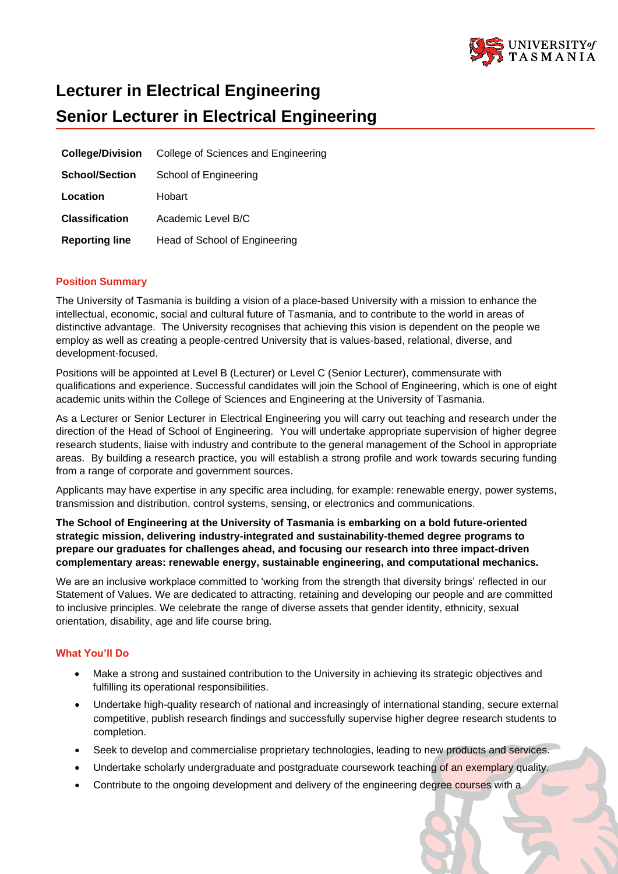

# **Lecturer in Electrical Engineering Senior Lecturer in Electrical Engineering**

| <b>College/Division</b> | College of Sciences and Engineering |
|-------------------------|-------------------------------------|
| <b>School/Section</b>   | School of Engineering               |
| Location                | Hobart                              |
| <b>Classification</b>   | Academic Level B/C                  |
| <b>Reporting line</b>   | Head of School of Engineering       |

# **Position Summary**

The University of Tasmania is building a vision of a place-based University with a mission to enhance the intellectual, economic, social and cultural future of Tasmania, and to contribute to the world in areas of distinctive advantage. The University recognises that achieving this vision is dependent on the people we employ as well as creating a people-centred University that is values-based, relational, diverse, and development-focused.

Positions will be appointed at Level B (Lecturer) or Level C (Senior Lecturer), commensurate with qualifications and experience. Successful candidates will join the School of Engineering, which is one of eight academic units within the College of Sciences and Engineering at the University of Tasmania.

As a Lecturer or Senior Lecturer in Electrical Engineering you will carry out teaching and research under the direction of the Head of School of Engineering. You will undertake appropriate supervision of higher degree research students, liaise with industry and contribute to the general management of the School in appropriate areas. By building a research practice, you will establish a strong profile and work towards securing funding from a range of corporate and government sources.

Applicants may have expertise in any specific area including, for example: renewable energy, power systems, transmission and distribution, control systems, sensing, or electronics and communications.

**The School of Engineering at the University of Tasmania is embarking on a bold future-oriented strategic mission, delivering industry-integrated and sustainability-themed degree programs to prepare our graduates for challenges ahead, and focusing our research into three impact-driven complementary areas: renewable energy, sustainable engineering, and computational mechanics.**

We are an inclusive workplace committed to 'working from the strength that diversity brings' reflected in our Statement of Values. We are dedicated to attracting, retaining and developing our people and are committed to inclusive principles. We celebrate the range of diverse assets that gender identity, ethnicity, sexual orientation, disability, age and life course bring.

# **What You'll Do**

- Make a strong and sustained contribution to the University in achieving its strategic objectives and fulfilling its operational responsibilities.
- Undertake high-quality research of national and increasingly of international standing, secure external competitive, publish research findings and successfully supervise higher degree research students to completion.
- Seek to develop and commercialise proprietary technologies, leading to new products and services.
- Undertake scholarly undergraduate and postgraduate coursework teaching of an exemplary quality.
- Contribute to the ongoing development and delivery of the engineering degree courses with a